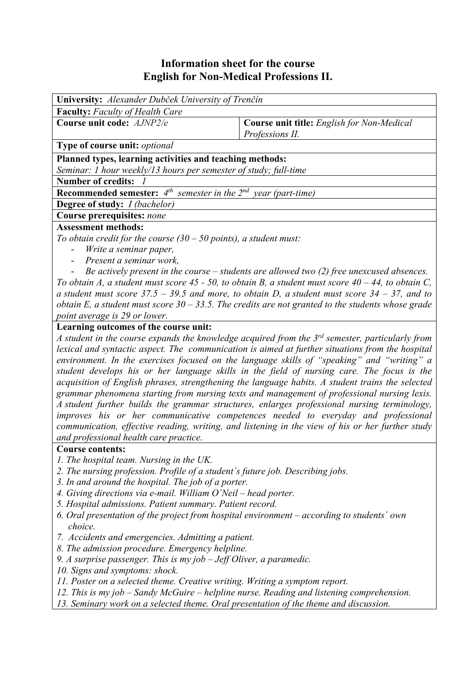## **Information sheet for the course English for Non-Medical Professions II.**

| University: Alexander Dubček University of Trenčín                                                       |                                                                                                             |  |  |  |  |  |
|----------------------------------------------------------------------------------------------------------|-------------------------------------------------------------------------------------------------------------|--|--|--|--|--|
| <b>Faculty:</b> Faculty of Health Care                                                                   |                                                                                                             |  |  |  |  |  |
| Course unit code: AJNP2/e                                                                                | <b>Course unit title:</b> English for Non-Medical                                                           |  |  |  |  |  |
|                                                                                                          | Professions II.                                                                                             |  |  |  |  |  |
| Type of course unit: optional                                                                            |                                                                                                             |  |  |  |  |  |
| Planned types, learning activities and teaching methods:                                                 |                                                                                                             |  |  |  |  |  |
| Seminar: 1 hour weekly/13 hours per semester of study; full-time                                         |                                                                                                             |  |  |  |  |  |
| Number of credits: 1                                                                                     |                                                                                                             |  |  |  |  |  |
| <b>Recommended semester:</b> $4^{th}$ semester in the $2^{nd}$ year (part-time)                          |                                                                                                             |  |  |  |  |  |
| <b>Degree of study:</b> <i>I (bachelor)</i>                                                              |                                                                                                             |  |  |  |  |  |
| <b>Course prerequisites: none</b>                                                                        |                                                                                                             |  |  |  |  |  |
| <b>Assessment methods:</b>                                                                               |                                                                                                             |  |  |  |  |  |
| To obtain credit for the course $(30 - 50$ points), a student must:                                      |                                                                                                             |  |  |  |  |  |
| Write a seminar paper,                                                                                   |                                                                                                             |  |  |  |  |  |
| Present a seminar work.                                                                                  |                                                                                                             |  |  |  |  |  |
| Be actively present in the course $-$ students are allowed two $(2)$ free unexcused absences.            |                                                                                                             |  |  |  |  |  |
| To obtain A, a student must score $45 - 50$ , to obtain B, a student must score $40 - 44$ , to obtain C, |                                                                                                             |  |  |  |  |  |
| a student must score $37.5 - 39.5$ and more, to obtain D, a student must score $34 - 37$ , and to        |                                                                                                             |  |  |  |  |  |
|                                                                                                          | obtain E, a student must score $30 - 33.5$ . The credits are not granted to the students whose grade        |  |  |  |  |  |
| point average is 29 or lower.                                                                            |                                                                                                             |  |  |  |  |  |
| Learning outcomes of the course unit:                                                                    |                                                                                                             |  |  |  |  |  |
|                                                                                                          | A student in the course expands the knowledge acquired from the 3 <sup>rd</sup> semester, particularly from |  |  |  |  |  |
| lexical and syntactic aspect. The communication is aimed at further situations from the hospital         |                                                                                                             |  |  |  |  |  |
| environment. In the exercises focused on the language skills of "speaking" and "writing" a               |                                                                                                             |  |  |  |  |  |
|                                                                                                          | student develops his or her language skills in the field of nursing care. The focus is the                  |  |  |  |  |  |
| acquisition of English phrases, strengthening the language habits. A student trains the selected         |                                                                                                             |  |  |  |  |  |
| grammar phenomena starting from nursing texts and management of professional nursing lexis.              |                                                                                                             |  |  |  |  |  |
| A student further builds the grammar structures, enlarges professional nursing terminology,              |                                                                                                             |  |  |  |  |  |
| improves his or her communicative competences needed to everyday and professional                        |                                                                                                             |  |  |  |  |  |
| communication, effective reading, writing, and listening in the view of his or her further study         |                                                                                                             |  |  |  |  |  |
| and professional health care practice.                                                                   |                                                                                                             |  |  |  |  |  |
| <b>Course contents:</b>                                                                                  |                                                                                                             |  |  |  |  |  |
| 1. The hospital team. Nursing in the UK.                                                                 |                                                                                                             |  |  |  |  |  |
| 2. The nursing profession. Profile of a student's future job. Describing jobs.                           |                                                                                                             |  |  |  |  |  |
| 3. In and around the hospital. The job of a porter.                                                      |                                                                                                             |  |  |  |  |  |
| 4. Giving directions via e-mail. William O'Neil – head porter.                                           |                                                                                                             |  |  |  |  |  |
| 5. Hospital admissions. Patient summary. Patient record.                                                 |                                                                                                             |  |  |  |  |  |
| 6. Oral presentation of the project from hospital environment – according to students' own               |                                                                                                             |  |  |  |  |  |
| choice.                                                                                                  |                                                                                                             |  |  |  |  |  |
| 7. Accidents and emergencies. Admitting a patient.                                                       |                                                                                                             |  |  |  |  |  |
| adam musa a a demos - Florescence and beala                                                              |                                                                                                             |  |  |  |  |  |

- *8. The admission procedure. Emergency helpline.*
- *9. A surprise passenger. This is my job Jeff Oliver, a paramedic.*
- *10. Signs and symptoms: shock.*
- *11. Poster on a selected theme. Creative writing. Writing a symptom report.*
- *12. This is my job Sandy McGuire helpline nurse. Reading and listening comprehension.*
- *13. Seminary work on a selected theme. Oral presentation of the theme and discussion.*